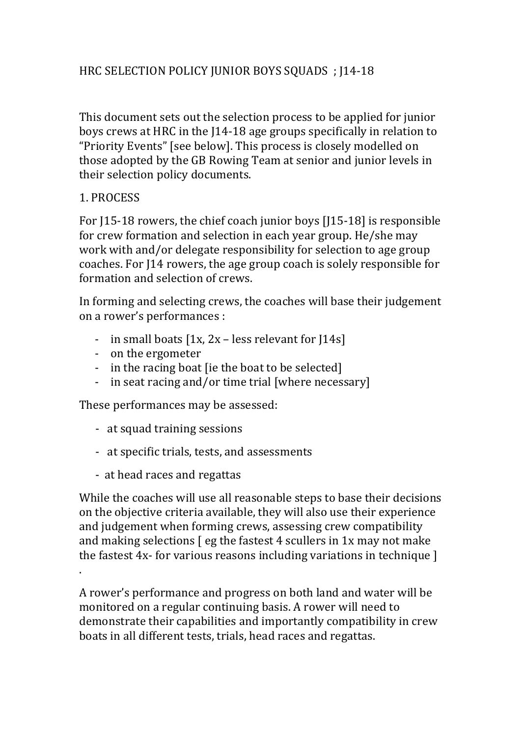## HRC SELECTION POLICY JUNIOR BOYS SQUADS ; J14-18

This document sets out the selection process to be applied for junior boys crews at HRC in the [14-18 age groups specifically in relation to "Priority Events" [see below]. This process is closely modelled on those adopted by the GB Rowing Team at senior and junior levels in their selection policy documents.

## 1. PROCESS

.

For  $[15-18$  rowers, the chief coach junior boys  $[115-18]$  is responsible for crew formation and selection in each year group. He/she may work with and/or delegate responsibility for selection to age group coaches. For J14 rowers, the age group coach is solely responsible for formation and selection of crews.

In forming and selecting crews, the coaches will base their judgement on a rower's performances :

- in small boats  $[1x, 2x \text{less relevant for } 14s]$
- on the ergometer
- in the racing boat (ie the boat to be selected)
- in seat racing and/or time trial [where necessary]

These performances may be assessed:

- at squad training sessions
- at specific trials, tests, and assessments
- at head races and regattas

While the coaches will use all reasonable steps to base their decisions on the objective criteria available, they will also use their experience and judgement when forming crews, assessing crew compatibility and making selections  $\lceil$  eg the fastest 4 scullers in 1x may not make the fastest  $4x$ - for various reasons including variations in technique  $\vert$ 

A rower's performance and progress on both land and water will be monitored on a regular continuing basis. A rower will need to demonstrate their capabilities and importantly compatibility in crew boats in all different tests, trials, head races and regattas.